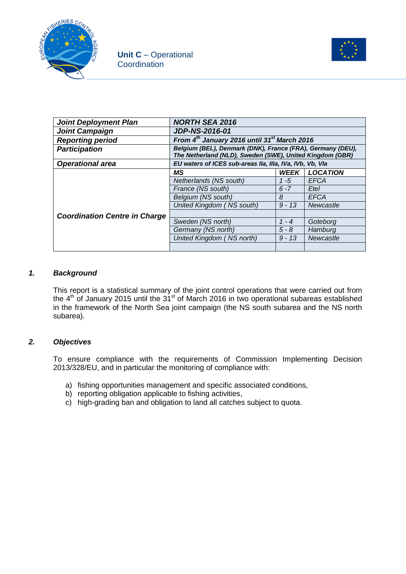



| <b>Joint Deployment Plan</b>         | <b>NORTH SEA 2016</b>                                                                                                  |                       |                 |  |
|--------------------------------------|------------------------------------------------------------------------------------------------------------------------|-----------------------|-----------------|--|
| <b>Joint Campaign</b>                | <b>JDP-NS-2016-01</b>                                                                                                  |                       |                 |  |
| <b>Reporting period</b>              | From $4^{th}$ January 2016 until 31 <sup>st</sup> March 2016                                                           |                       |                 |  |
| <b>Participation</b>                 | Belgium (BEL), Denmark (DNK), France (FRA), Germany (DEU),<br>The Netherland (NLD), Sweden (SWE), United Kingdom (GBR) |                       |                 |  |
| <b>Operational area</b>              | EU waters of ICES sub-areas IIa, IIIa, IVa, IVb, Vb, Vla                                                               |                       |                 |  |
|                                      | МS                                                                                                                     | <b>WEEK</b>           | <b>LOCATION</b> |  |
|                                      | Netherlands (NS south)                                                                                                 | $1 - 5$               | EFCA            |  |
|                                      | France (NS south)                                                                                                      | $6 - 7$               | Etel            |  |
|                                      | Belgium (NS south)                                                                                                     | 8                     | <b>EFCA</b>     |  |
|                                      | United Kingdom (NS south)                                                                                              | $9 - 13$<br>Newcastle |                 |  |
| <b>Coordination Centre in Charge</b> |                                                                                                                        |                       |                 |  |
|                                      | Sweden (NS north)                                                                                                      | $1 - 4$               | Goteborg        |  |
|                                      | Germany (NS north)                                                                                                     | $5 - 8$               | Hamburg         |  |
|                                      | United Kingdom (NS north)                                                                                              | $9 - 13$              | Newcastle       |  |
|                                      |                                                                                                                        |                       |                 |  |

### *1. Background*

This report is a statistical summary of the joint control operations that were carried out from the  $4<sup>th</sup>$  of January 2015 until the 31<sup>st</sup> of March 2016 in two operational subareas established in the framework of the North Sea joint campaign (the NS south subarea and the NS north subarea).

### *2. Objectives*

To ensure compliance with the requirements of Commission Implementing Decision 2013/328/EU, and in particular the monitoring of compliance with:

- a) fishing opportunities management and specific associated conditions,
- b) reporting obligation applicable to fishing activities,
- c) high-grading ban and obligation to land all catches subject to quota.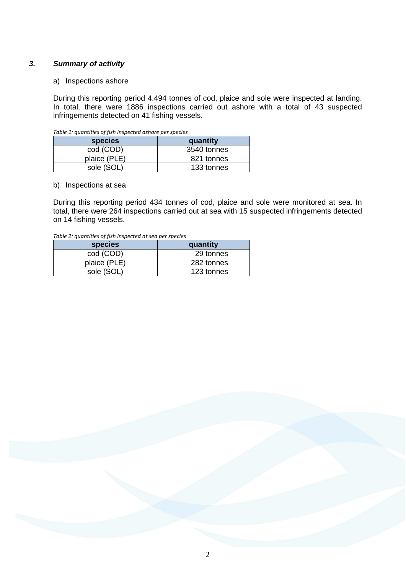### *3. Summary of activity*

#### a) Inspections ashore

During this reporting period 4.494 tonnes of cod, plaice and sole were inspected at landing. In total, there were 1886 inspections carried out ashore with a total of 43 suspected infringements detected on 41 fishing vessels.

| species      | quantity    |
|--------------|-------------|
| cod (COD)    | 3540 tonnes |
| plaice (PLE) | 821 tonnes  |
| sole (SOL)   | 133 tonnes  |

*Table 1: quantities of fish inspected ashore per species*

#### b) Inspections at sea

During this reporting period 434 tonnes of cod, plaice and sole were monitored at sea. In total, there were 264 inspections carried out at sea with 15 suspected infringements detected on 14 fishing vessels.

| species      | quantity   |
|--------------|------------|
| cod (COD)    | 29 tonnes  |
| plaice (PLE) | 282 tonnes |
| sole (SOL    | 123 tonnes |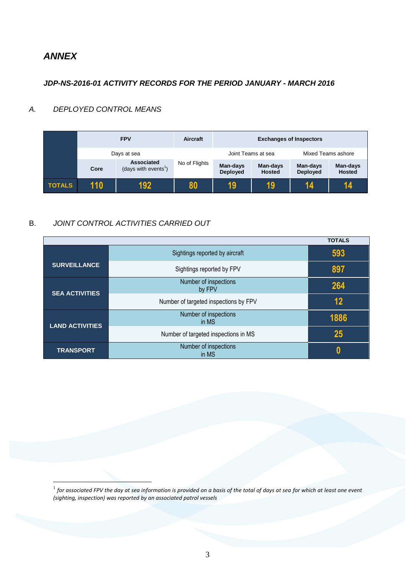# *ANNEX*

<u>.</u>

## *JDP-NS-2016-01 ACTIVITY RECORDS FOR THE PERIOD JANUARY - MARCH 2016*

## *A. DEPLOYED CONTROL MEANS*

|               |             | <b>FPV</b>                                     | Aircraft      | <b>Exchanges of Inspectors</b> |                           |                      |                           |
|---------------|-------------|------------------------------------------------|---------------|--------------------------------|---------------------------|----------------------|---------------------------|
|               | Days at sea |                                                |               |                                | Joint Teams at sea        | Mixed Teams ashore   |                           |
|               | Core        | Associated<br>(days with events <sup>1</sup> ) | No of Flights | Man-days<br><b>Deployed</b>    | Man-days<br><b>Hosted</b> | Man-days<br>Deployed | Man-days<br><b>Hosted</b> |
| <b>TOTALS</b> | 110         | 192                                            | 80            | 19                             | 19                        | 14                   | 14                        |

## B. *JOINT CONTROL ACTIVITIES CARRIED OUT*

|                        |                                       | <b>TOTALS</b> |
|------------------------|---------------------------------------|---------------|
|                        | Sightings reported by aircraft        | 593           |
| <b>SURVEILLANCE</b>    | Sightings reported by FPV             | 897           |
| <b>SEA ACTIVITIES</b>  | Number of inspections<br>by FPV       | 264           |
|                        | Number of targeted inspections by FPV | 12            |
| <b>LAND ACTIVITIES</b> | Number of inspections<br>in MS        | 1886          |
|                        | Number of targeted inspections in MS  | 25            |
| <b>TRANSPORT</b>       | Number of inspections<br>in MS        | N             |

 $^{\rm 1}$  for associated FPV the day at sea information is provided on a basis of the total of days at sea for which at least one event *(sighting, inspection) was reported by an associated patrol vessels*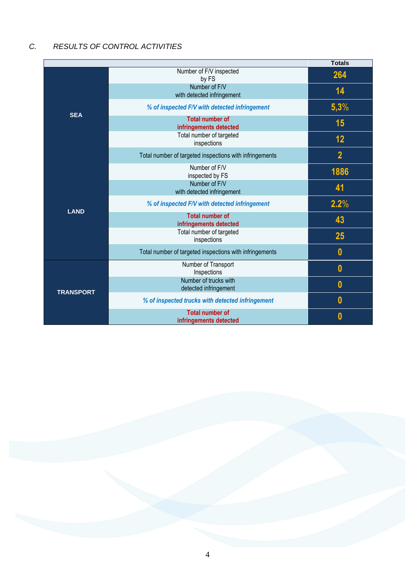# *C. RESULTS OF CONTROL ACTIVITIES*

|                  |                                                         | <b>Totals</b>  |
|------------------|---------------------------------------------------------|----------------|
|                  | Number of F/V inspected<br>by FS                        | 264            |
| <b>SEA</b>       | Number of F/V<br>with detected infringement             | 14             |
|                  | % of inspected F/V with detected infringement           | 5,3%           |
|                  | <b>Total number of</b><br>infringements detected        | 15             |
|                  | Total number of targeted<br>inspections                 | 12             |
|                  | Total number of targeted inspections with infringements | $\overline{2}$ |
|                  | Number of F/V<br>inspected by FS                        | 1886           |
|                  | Number of F/V<br>with detected infringement             | 41             |
| <b>LAND</b>      | % of inspected F/V with detected infringement           | 2.2%           |
|                  | <b>Total number of</b><br>infringements detected        | 43             |
|                  | Total number of targeted<br>inspections                 | 25             |
|                  | Total number of targeted inspections with infringements | $\bf{0}$       |
|                  | Number of Transport<br>Inspections                      | $\bf{0}$       |
| <b>TRANSPORT</b> | Number of trucks with<br>detected infringement          | $\bf{0}$       |
|                  | % of inspected trucks with detected infringement        | $\bf{0}$       |
|                  | <b>Total number of</b><br>infringements detected        | 0              |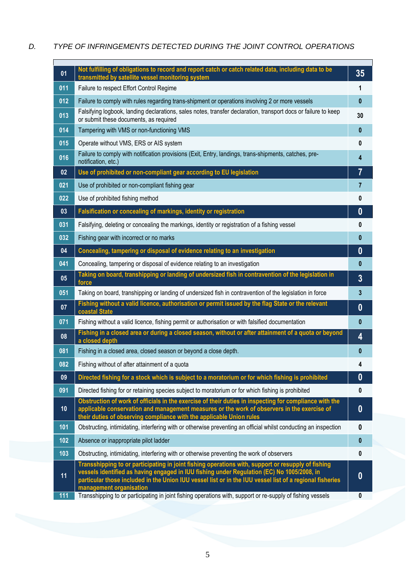# *D. TYPE OF INFRINGEMENTS DETECTED DURING THE JOINT CONTROL OPERATIONS*

| 01  | Not fulfilling of obligations to record and report catch or catch related data, including data to be<br>transmitted by satellite vessel monitoring system                                                                                                                                                                               | 35             |
|-----|-----------------------------------------------------------------------------------------------------------------------------------------------------------------------------------------------------------------------------------------------------------------------------------------------------------------------------------------|----------------|
| 011 | Failure to respect Effort Control Regime                                                                                                                                                                                                                                                                                                | 1              |
| 012 | Failure to comply with rules regarding trans-shipment or operations involving 2 or more vessels                                                                                                                                                                                                                                         | $\mathbf{0}$   |
| 013 | Falsifying logbook, landing declarations, sales notes, transfer declaration, transport docs or failure to keep<br>or submit these documents, as required                                                                                                                                                                                | 30             |
| 014 | Tampering with VMS or non-functioning VMS                                                                                                                                                                                                                                                                                               | $\mathbf{0}$   |
| 015 | Operate without VMS, ERS or AIS system                                                                                                                                                                                                                                                                                                  | 0              |
| 016 | Failure to comply with notification provisions (Exit, Entry, landings, trans-shipments, catches, pre-<br>notification, etc.)                                                                                                                                                                                                            | 4              |
| 02  | Use of prohibited or non-compliant gear according to EU legislation                                                                                                                                                                                                                                                                     | 7              |
| 021 | Use of prohibited or non-compliant fishing gear                                                                                                                                                                                                                                                                                         | $\overline{7}$ |
| 022 | Use of prohibited fishing method                                                                                                                                                                                                                                                                                                        | 0              |
| 03  | Falsification or concealing of markings, identity or registration                                                                                                                                                                                                                                                                       | $\bf{0}$       |
| 031 | Falsifying, deleting or concealing the markings, identity or registration of a fishing vessel                                                                                                                                                                                                                                           | 0              |
| 032 | Fishing gear with incorrect or no marks                                                                                                                                                                                                                                                                                                 | $\bf{0}$       |
| 04  | Concealing, tampering or disposal of evidence relating to an investigation                                                                                                                                                                                                                                                              | $\bf{0}$       |
| 041 | Concealing, tampering or disposal of evidence relating to an investigation                                                                                                                                                                                                                                                              | $\mathbf{0}$   |
| 05  | Taking on board, transhipping or landing of undersized fish in contravention of the legislation in<br>force                                                                                                                                                                                                                             | $\overline{3}$ |
| 051 | Taking on board, transhipping or landing of undersized fish in contravention of the legislation in force                                                                                                                                                                                                                                | 3              |
| 07  | Fishing without a valid licence, authorisation or permit issued by the flag State or the relevant<br>coastal State                                                                                                                                                                                                                      | $\bf{0}$       |
| 071 | Fishing without a valid licence, fishing permit or authorisation or with falsified documentation                                                                                                                                                                                                                                        | $\mathbf{0}$   |
| 08  | Fishing in a closed area or during a closed season, without or after attainment of a quota or beyond<br>a closed depth                                                                                                                                                                                                                  | 4              |
| 081 | Fishing in a closed area, closed season or beyond a close depth.                                                                                                                                                                                                                                                                        | $\bf{0}$       |
| 082 | Fishing without of after attainment of a quota                                                                                                                                                                                                                                                                                          |                |
| 09  | Directed fishing for a stock which is subject to a moratorium or for which fishing is prohibited                                                                                                                                                                                                                                        | $\bf{0}$       |
| 091 | Directed fishing for or retaining species subject to moratorium or for which fishing is prohibited                                                                                                                                                                                                                                      | 0              |
| 10  | Obstruction of work of officials in the exercise of their duties in inspecting for compliance with the<br>applicable conservation and management measures or the work of observers in the exercise of<br>their duties of observing compliance with the applicable Union rules                                                           | $\bf{0}$       |
| 101 | Obstructing, intimidating, interfering with or otherwise preventing an official whilst conducting an inspection                                                                                                                                                                                                                         | 0              |
| 102 | Absence or inappropriate pilot ladder                                                                                                                                                                                                                                                                                                   | $\pmb{0}$      |
| 103 | Obstructing, intimidating, interfering with or otherwise preventing the work of observers                                                                                                                                                                                                                                               | $\mathbf{0}$   |
| 11  | Transshipping to or participating in joint fishing operations with, support or resupply of fishing<br>vessels identified as having engaged in IUU fishing under Regulation (EC) No 1005/2008, in<br>particular those included in the Union IUU vessel list or in the IUU vessel list of a regional fisheries<br>management organisation | $\bf{0}$       |
| 111 | Transshipping to or participating in joint fishing operations with, support or re-supply of fishing vessels                                                                                                                                                                                                                             | $\pmb{0}$      |